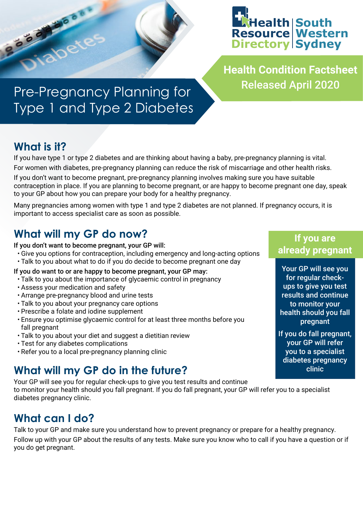



**Health Condition Factsheet** Released April 2020

# Pre-Pregnancy Planning for Type 1 and Type 2 Diabetes

# **What is it?**

If you have type 1 or type 2 diabetes and are thinking about having a baby, pre-pregnancy planning is vital. For women with diabetes, pre-pregnancy planning can reduce the risk of miscarriage and other health risks.

If you don't want to become pregnant, pre-pregnancy planning involves making sure you have suitable contraception in place. If you are planning to become pregnant, or are happy to become pregnant one day, speak to your GP about how you can prepare your body for a healthy pregnancy.

Many pregnancies among women with type 1 and type 2 diabetes are not planned. If pregnancy occurs, it is important to access specialist care as soon as possible.

# **What will my GP do now?**

If you don't want to become pregnant, your GP will:

- Give you options for contraception, including emergency and long-acting options
- Talk to you about what to do if you do decide to become pregnant one day

#### If you do want to or are happy to become pregnant, your GP may:

- Talk to you about the importance of glycaemic control in pregnancy
- Assess your medication and safety
- Arrange pre-pregnancy blood and urine tests
- Talk to you about your pregnancy care options
- Prescribe a folate and iodine supplement
- Ensure you optimise glycaemic control for at least three months before you fall pregnant
- Talk to you about your diet and suggest a dietitian review
- Test for any diabetes complications
- Refer you to a local pre-pregnancy planning clinic

# **What will my GP do in the future?**

Your GP will see you for regular check-ups to give you test results and continue

to monitor your health should you fall pregnant. If you do fall pregnant, your GP will refer you to a specialist diabetes pregnancy clinic.

# **What can I do?**

Talk to your GP and make sure you understand how to prevent pregnancy or prepare for a healthy pregnancy. Follow up with your GP about the results of any tests. Make sure you know who to call if you have a question or if you do get pregnant.

### **If you are already pregnant**

Your GP will see you for regular checkups to give you test results and continue to monitor your health should you fall pregnant

If you do fall pregnant, your GP will refer you to a specialist diabetes pregnancy clinic